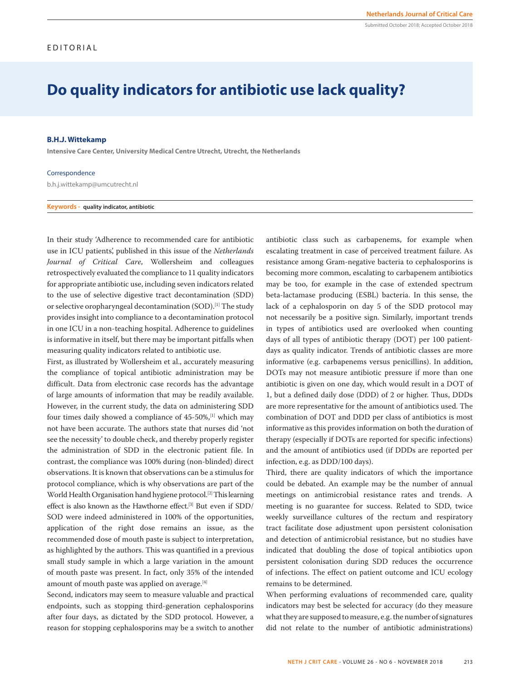# **Do quality indicators for antibiotic use lack quality?**

### **B.H.J. Wittekamp**

**Intensive Care Center, University Medical Centre Utrecht, Utrecht, the Netherlands**

#### Correspondence

b.h.j.wittekamp@umcutrecht.nl

**Keywords - quality indicator, antibiotic**

In their study 'Adherence to recommended care for antibiotic use in ICU patients', published in this issue of the *Netherlands Journal of Critical Care*, Wollersheim and colleagues retrospectively evaluated the compliance to 11 quality indicators for appropriate antibiotic use, including seven indicators related to the use of selective digestive tract decontamination (SDD) or selective oropharyngeal decontamination (SOD).[1] The study provides insight into compliance to a decontamination protocol in one ICU in a non-teaching hospital. Adherence to guidelines is informative in itself, but there may be important pitfalls when measuring quality indicators related to antibiotic use.

First, as illustrated by Wollersheim et al., accurately measuring the compliance of topical antibiotic administration may be difficult. Data from electronic case records has the advantage of large amounts of information that may be readily available. However, in the current study, the data on administering SDD four times daily showed a compliance of 45-50%,[1] which may not have been accurate. The authors state that nurses did 'not see the necessity' to double check, and thereby properly register the administration of SDD in the electronic patient file. In contrast, the compliance was 100% during (non-blinded) direct observations. It is known that observations can be a stimulus for protocol compliance, which is why observations are part of the World Health Organisation hand hygiene protocol.[2] This learning effect is also known as the Hawthorne effect.[3] But even if SDD/ SOD were indeed administered in 100% of the opportunities, application of the right dose remains an issue, as the recommended dose of mouth paste is subject to interpretation, as highlighted by the authors. This was quantified in a previous small study sample in which a large variation in the amount of mouth paste was present. In fact, only 35% of the intended amount of mouth paste was applied on average.<sup>[4]</sup>

Second, indicators may seem to measure valuable and practical endpoints, such as stopping third-generation cephalosporins after four days, as dictated by the SDD protocol. However, a reason for stopping cephalosporins may be a switch to another antibiotic class such as carbapenems, for example when escalating treatment in case of perceived treatment failure. As resistance among Gram-negative bacteria to cephalosporins is becoming more common, escalating to carbapenem antibiotics may be too, for example in the case of extended spectrum beta-lactamase producing (ESBL) bacteria. In this sense, the lack of a cephalosporin on day 5 of the SDD protocol may not necessarily be a positive sign. Similarly, important trends in types of antibiotics used are overlooked when counting days of all types of antibiotic therapy (DOT) per 100 patientdays as quality indicator. Trends of antibiotic classes are more informative (e.g. carbapenems versus penicillins). In addition, DOTs may not measure antibiotic pressure if more than one antibiotic is given on one day, which would result in a DOT of 1, but a defined daily dose (DDD) of 2 or higher. Thus, DDDs are more representative for the amount of antibiotics used. The combination of DOT and DDD per class of antibiotics is most informative as this provides information on both the duration of therapy (especially if DOTs are reported for specific infections) and the amount of antibiotics used (if DDDs are reported per infection, e.g. as DDD/100 days).

Third, there are quality indicators of which the importance could be debated. An example may be the number of annual meetings on antimicrobial resistance rates and trends. A meeting is no guarantee for success. Related to SDD, twice weekly surveillance cultures of the rectum and respiratory tract facilitate dose adjustment upon persistent colonisation and detection of antimicrobial resistance, but no studies have indicated that doubling the dose of topical antibiotics upon persistent colonisation during SDD reduces the occurrence of infections. The effect on patient outcome and ICU ecology remains to be determined.

When performing evaluations of recommended care, quality indicators may best be selected for accuracy (do they measure what they are supposed to measure, e.g. the number of signatures did not relate to the number of antibiotic administrations)